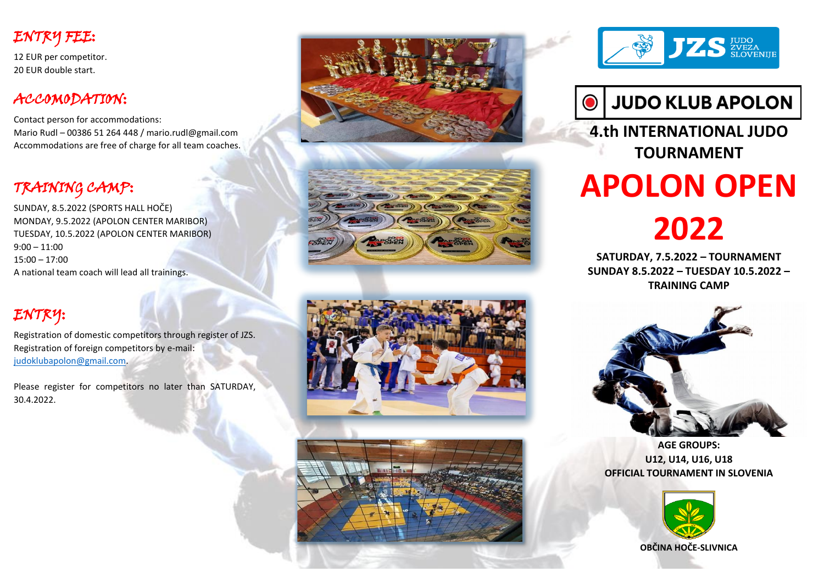# ENTRY FEE:

12 EUR per competitor. 20 EUR double start.

## ACCOMODATION:

Contact person for accommodations: Mario Rudl – 00386 51 264 448 / mario.rudl@gmail.com Accommodations are free of charge for all team coaches.

# TRAINING CAMP:

SUNDAY, 8.5.2022 (SPORTS HALL HOČE) MONDAY, 9.5.2022 (APOLON CENTER MARIBOR) TUESDAY, 10.5.2022 (APOLON CENTER MARIBOR) 9:00 – 11:00 15:00 – 17:00 A national team coach will lead all trainings.

# ENTRY:

Registration of domestic competitors through register of JZS. Registration of foreign competitors by e-mail: [judoklubapolon@gmail.com.](mailto:judoklubapolon@gmail.com)

Please register for competitors no later than SATURDAY, 30.4.2022.













**4.th INTERNATIONAL JUDO TOURNAMENT**

# **APOLON OPEN**

**2022**

**SATURDAY, 7.5.2022 – TOURNAMENT SUNDAY 8.5.2022 – TUESDAY 10.5.2022 – TRAINING CAMP**



**AGE GROUPS: U12, U14, U16, U18 OFFICIAL TOURNAMENT IN SLOVENIA**